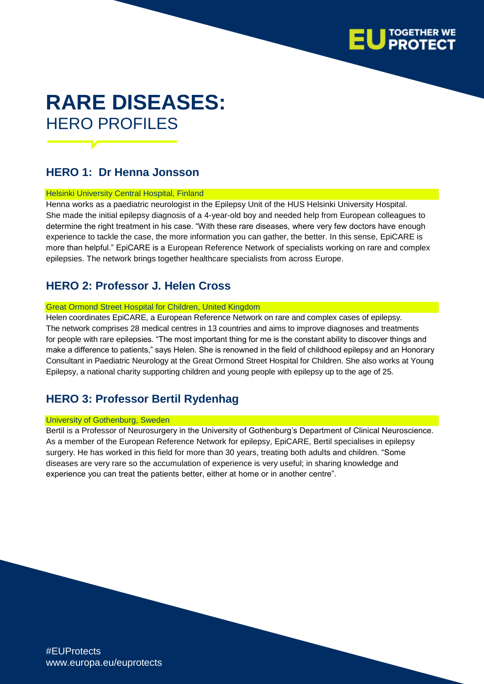

# **RARE DISEASES:** HERO PROFILES

## **HERO 1: Dr Henna Jonsson**

#### Helsinki University Central Hospital, Finland

Henna works as a paediatric neurologist in the Epilepsy Unit of the HUS Helsinki University Hospital. She made the initial epilepsy diagnosis of a 4-year-old boy and needed help from European colleagues to determine the right treatment in his case. "With these rare diseases, where very few doctors have enough experience to tackle the case, the more information you can gather, the better. In this sense, EpiCARE is more than helpful." EpiCARE is a European Reference Network of specialists working on rare and complex epilepsies. The network brings together healthcare specialists from across Europe.

### **HERO 2: Professor J. Helen Cross**

#### Great Ormond Street Hospital for Children, United Kingdom

Helen coordinates EpiCARE, a European Reference Network on rare and complex cases of epilepsy. The network comprises 28 medical centres in 13 countries and aims to improve diagnoses and treatments for people with rare epilepsies. "The most important thing for me is the constant ability to discover things and make a difference to patients," says Helen. She is renowned in the field of childhood epilepsy and an Honorary Consultant in Paediatric Neurology at the Great Ormond Street Hospital for Children. She also works at Young Epilepsy, a national charity supporting children and young people with epilepsy up to the age of 25.

## **HERO 3: Professor Bertil Rydenhag**

#### University of Gothenburg, Sweden

Bertil is a Professor of Neurosurgery in the University of Gothenburg's Department of Clinical Neuroscience. As a member of the European Reference Network for epilepsy, EpiCARE, Bertil specialises in epilepsy surgery. He has worked in this field for more than 30 years, treating both adults and children. "Some diseases are very rare so the accumulation of experience is very useful; in sharing knowledge and experience you can treat the patients better, either at home or in another centre".